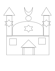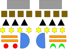